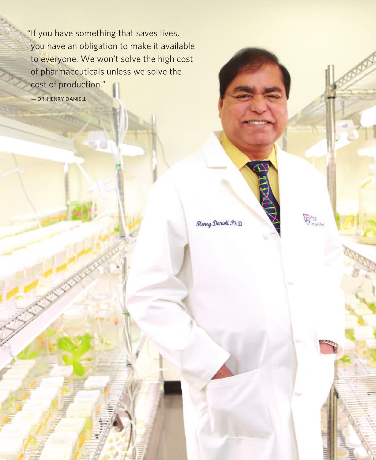"If you have something that saves lives, you have an obligation to make it available to everyone. We won't solve the high cost of pharmaceuticals unless we solve the cost of production."

— DR. HENRY DANIELL

Henry Daniell Ph.D.

 $\bigotimes_{\text{local Mon}}$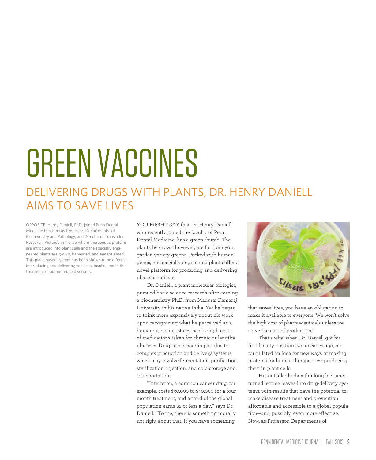# GREENVACCINES

### DELIVERING DRUGS WITH PLANTS, DR. HENRY DANIELL AIMS TO SAVE LIVES

OPPOSITE: Henry Daniell, PhD, joined Penn Dental Medicine this June as Professor, Departments of Biochemistry and Pathology, and Director of Translational Research. Pictured in his lab where therapeutic proteins are introduced into plant cells and the specially engineered plants are grown, harvested, and encapsulated. This plant-based system has been shown to be effective in producing and delivering vaccines, insulin, and in the treatment of autoimmune disorders.

YOU MIGHT SAY that Dr. Henry Daniell, who recently joined the faculty of Penn Dental Medicine, has a green thumb. The plants he grows, however, are far from your garden variety greens. Packed with human genes, his specially engineered plants offer a novel platform for producing and delivering pharmaceuticals.

Dr. Daniell, a plant molecular biologist, pursued basic science research after earning a biochemistry Ph.D. from Madurai Kamaraj University in his native India. Yet he began to think more expansively about his work upon recognizing what he perceived as a human-rights injustice: the sky-high costs of medications taken for chronic or lengthy illnesses. Drugs costs soar in part due to complex production and delivery systems, which may involve fermentation, purification, sterilization, injection, and cold storage and transportation.

"Interferon, a common cancer drug, for example, costs \$30,000 to \$40,000 for a fourmonth treatment, and a third of the global population earns \$2 or less a day," says Dr. Daniell. "To me, there is something morally not right about that. If you have something



that saves lives, you have an obligation to make it available to everyone. We won't solve the high cost of pharmaceuticals unless we solve the cost of production."

That's why, when Dr. Daniell got his first faculty position two decades ago, he formulated an idea for new ways of making proteins for human therapeutics: producing them in plant cells.

His outside-the-box thinking has since turned lettuce leaves into drug-delivery systems, with results that have the potential to make disease treatment and prevention affordable and accessible to a global population—and, possibly, even more effective. Now, as Professor, Departments of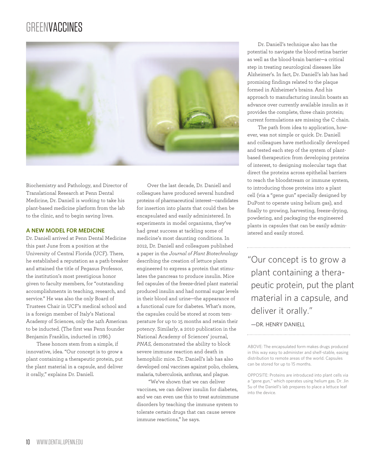## GREENVACCINES



Biochemistry and Pathology, and Director of Translational Research at Penn Dental Medicine, Dr. Daniell is working to take his plant-based medicine platform from the lab to the clinic, and to begin saving lives.

#### **A NEW MODEL FOR MEDICINE**

Dr. Daniell arrived at Penn Dental Medicine this past June from a position at the University of Central Florida (UCF). There, he established a reputation as a path-breaker and attained the title of Pegasus Professor, the institution's most prestigious honor given to faculty members, for "outstanding accomplishments in teaching, research, and service." He was also the only Board of Trustees Chair in UCF's medical school and is a foreign member of Italy's National Academy of Sciences, only the 14th American to be inducted. (The first was Penn founder Benjamin Franklin, inducted in 1786.)

These honors stem from a simple, if innovative, idea. "Our concept is to grow a plant containing a therapeutic protein, put the plant material in a capsule, and deliver it orally," explains Dr. Daniell.

Over the last decade, Dr. Daniell and colleagues have produced several hundred proteins of pharmaceutical interest—candidates for insertion into plants that could then be encapsulated and easily administered. In experiments in model organisms, they've had great success at tackling some of medicine's most daunting conditions. In 2012, Dr. Daniell and colleagues published a paper in the *Journal of Plant Biotechnology* describing the creation of lettuce plants engineered to express a protein that stimulates the pancreas to produce insulin. Mice fed capsules of the freeze-dried plant material produced insulin and had normal sugar levels in their blood and urine—the appearance of a functional cure for diabetes. What's more, the capsules could be stored at room temperature for up to 15 months and retain their potency. Similarly, a 2010 publication in the National Academy of Sciences' journal, *PNAS,* demonstrated the ability to block severe immune reaction and death in hemophilic mice. Dr. Daniell's lab has also developed oral vaccines against polio, cholera, malaria, tuberculosis, anthrax, and plague.

"We've shown that we can deliver vaccines, we can deliver insulin for diabetes, and we can even use this to treat autoimmune disorders by teaching the immune system to tolerate certain drugs that can cause severe immune reactions," he says.

Dr. Daniell's technique also has the potential to navigate the blood-retina barrier as well as the blood-brain barrier—a critical step in treating neurological diseases like Alzheimer's. In fact, Dr. Daniell's lab has had promising findings related to the plaque formed in Alzheimer's brains. And his approach to manufacturing insulin boasts an advance over currently available insulin as it provides the complete, three chain protein; current formulations are missing the C chain.

The path from idea to application, however, was not simple or quick. Dr. Daniell and colleagues have methodically developed and tested each step of the system of plantbased therapeutics: from developing proteins of interest, to designing molecular tags that direct the proteins across epithelial barriers to reach the bloodstream or immune system, to introducing those proteins into a plant cell (via a "gene gun" specially designed by DuPont to operate using helium gas), and finally to growing, harvesting, freeze-drying, powdering, and packaging the engineered plants in capsules that can be easily administered and easily stored.

"Our concept is to grow a plant containing a therapeutic protein, put the plant material in a capsule, and deliver it orally."

—DR. HENRY DANIELL

ABOVE: The encapsulated form makes drugs produced in this way easy to administer and shelf-stable, easing distribution to remote areas of the world. Capsules can be stored for up to 15 months.

OPPOSITE: Proteins are introduced into plant cells via a "gene gun," which operates using helium gas. Dr. Jin Su of the Daniell's lab prepares to place a lettuce leaf into the device.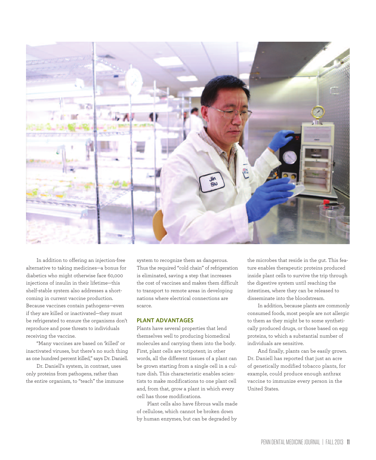

In addition to offering an injection-free alternative to taking medicines—a bonus for diabetics who might otherwise face 60,000 injections of insulin in their lifetime—this shelf-stable system also addresses a shortcoming in current vaccine production. Because vaccines contain pathogens—even if they are killed or inactivated—they must be refrigerated to ensure the organisms don't reproduce and pose threats to individuals receiving the vaccine.

"Many vaccines are based on 'killed' or inactivated viruses, but there's no such thing as one hundred percent killed," says Dr. Daniell.

Dr. Daniell's system, in contrast, uses only proteins from pathogens, rather than the entire organism, to "teach" the immune system to recognize them as dangerous. Thus the required "cold chain" of refrigeration is eliminated, saving a step that increases the cost of vaccines and makes them difficult to transport to remote areas in developing nations where electrical connections are scarce.

#### **PLANT ADVANTAGES**

Plants have several properties that lend themselves well to producing biomedical molecules and carrying them into the body. First, plant cells are totipotent; in other words, all the different tissues of a plant can be grown starting from a single cell in a culture dish. This characteristic enables scientists to make modifications to one plant cell and, from that, grow a plant in which every cell has those modifications.

Plant cells also have fibrous walls made of cellulose, which cannot be broken down by human enzymes, but can be degraded by

the microbes that reside in the gut. This feature enables therapeutic proteins produced inside plant cells to survive the trip through the digestive system until reaching the intestines, where they can be released to disseminate into the bloodstream.

In addition, because plants are commonly consumed foods, most people are not allergic to them as they might be to some synthetically produced drugs, or those based on egg proteins, to which a substantial number of individuals are sensitive.

And finally, plants can be easily grown. Dr. Daniell has reported that just an acre of genetically modified tobacco plants, for example, could produce enough anthrax vaccine to immunize every person in the United States.